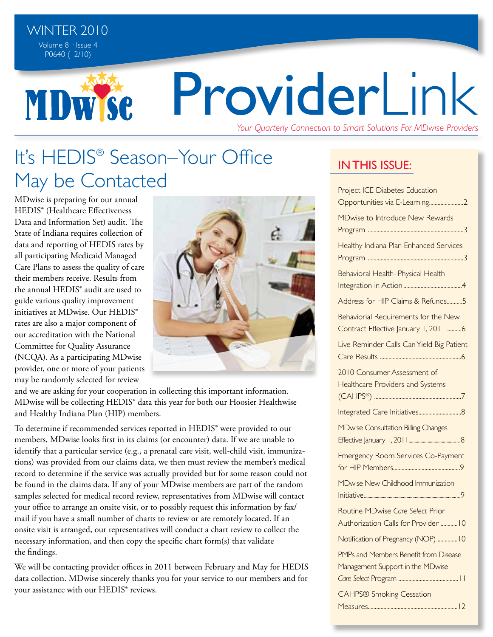**MDWSe** 

# Providerl ink

*Your Quarterly Connection to Smart Solutions For MDwise Providers*

# It's HEDIS® Season–Your Office May be Contacted

MDwise is preparing for our annual HEDIS® (Healthcare Effectiveness Data and Information Set) audit. The State of Indiana requires collection of data and reporting of HEDIS rates by all participating Medicaid Managed Care Plans to assess the quality of care their members receive. Results from the annual HEDIS® audit are used to guide various quality improvement initiatives at MDwise. Our HEDIS® rates are also a major component of our accreditation with the National Committee for Quality Assurance (NCQA). As a participating MDwise provider, one or more of your patients may be randomly selected for review



and we are asking for your cooperation in collecting this important information. MDwise will be collecting HEDIS® data this year for both our Hoosier Healthwise and Healthy Indiana Plan (HIP) members.

To determine if recommended services reported in HEDIS® were provided to our members, MDwise looks first in its claims (or encounter) data. If we are unable to identify that a particular service (e.g., a prenatal care visit, well-child visit, immunizations) was provided from our claims data, we then must review the member's medical record to determine if the service was actually provided but for some reason could not be found in the claims data. If any of your MDwise members are part of the random samples selected for medical record review, representatives from MDwise will contact your office to arrange an onsite visit, or to possibly request this information by fax/ mail if you have a small number of charts to review or are remotely located. If an onsite visit is arranged, our representatives will conduct a chart review to collect the necessary information, and then copy the specific chart form(s) that validate the findings.

We will be contacting provider offices in 2011 between February and May for HEDIS data collection. MDwise sincerely thanks you for your service to our members and for your assistance with our HEDIS® reviews.

## **IN THIS ISSUE:**

| <b>Project ICE Diabetes Education</b>                                        |
|------------------------------------------------------------------------------|
| Opportunities via E-Learning2                                                |
| MDwise to Introduce New Rewards                                              |
|                                                                              |
| Healthy Indiana Plan Enhanced Services                                       |
| Behavioral Health-Physical Health                                            |
| Address for HIP Claims & Refunds5                                            |
| Behaviorial Requirements for the New<br>Contract Effective January 1, 2011 6 |
| Live Reminder Calls Can Yield Big Patient                                    |
| 2010 Consumer Assessment of<br><b>Healthcare Providers and Systems</b>       |
|                                                                              |
| <b>MDwise Consultation Billing Changes</b>                                   |
| <b>Emergency Room Services Co-Payment</b>                                    |
| MDwise New Childhood Immunization                                            |
| Routine MDwise Care Select Prior<br>Authorization Calls for Provider  10     |
| Notification of Pregnancy (NOP)  10                                          |
| PMPs and Members Benefit from Disease<br>Management Support in the MDwise    |
| <b>CAHPS® Smoking Cessation</b><br>$\overline{1}$<br>Measures                |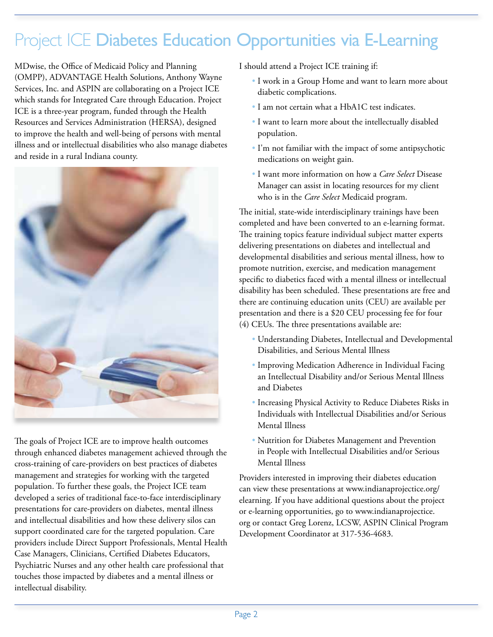# Project ICE Diabetes Education Opportunities via E-Learning

MDwise, the Office of Medicaid Policy and Planning (OMPP), ADVANTAGE Health Solutions, Anthony Wayne Services, Inc. and ASPIN are collaborating on a Project ICE which stands for Integrated Care through Education. Project ICE is a three-year program, funded through the Health Resources and Services Administration (HERSA), designed to improve the health and well-being of persons with mental illness and or intellectual disabilities who also manage diabetes and reside in a rural Indiana county.



The goals of Project ICE are to improve health outcomes through enhanced diabetes management achieved through the cross-training of care-providers on best practices of diabetes management and strategies for working with the targeted population. To further these goals, the Project ICE team developed a series of traditional face-to-face interdisciplinary presentations for care-providers on diabetes, mental illness and intellectual disabilities and how these delivery silos can support coordinated care for the targeted population. Care providers include Direct Support Professionals, Mental Health Case Managers, Clinicians, Certified Diabetes Educators, Psychiatric Nurses and any other health care professional that touches those impacted by diabetes and a mental illness or intellectual disability.

I should attend a Project ICE training if:

- I work in a Group Home and want to learn more about diabetic complications.
- I am not certain what a HbA1C test indicates.
- I want to learn more about the intellectually disabled population.
- I'm not familiar with the impact of some antipsychotic medications on weight gain.
- I want more information on how a *Care Select* Disease Manager can assist in locating resources for my client who is in the *Care Select* Medicaid program.

The initial, state-wide interdisciplinary trainings have been completed and have been converted to an e-learning format. The training topics feature individual subject matter experts delivering presentations on diabetes and intellectual and developmental disabilities and serious mental illness, how to promote nutrition, exercise, and medication management specific to diabetics faced with a mental illness or intellectual disability has been scheduled. These presentations are free and there are continuing education units (CEU) are available per presentation and there is a \$20 CEU processing fee for four (4) CEUs. The three presentations available are:

- Understanding Diabetes, Intellectual and Developmental Disabilities, and Serious Mental Illness
- Improving Medication Adherence in Individual Facing an Intellectual Disability and/or Serious Mental Illness and Diabetes
- Increasing Physical Activity to Reduce Diabetes Risks in Individuals with Intellectual Disabilities and/or Serious Mental Illness
- Nutrition for Diabetes Management and Prevention in People with Intellectual Disabilities and/or Serious Mental Illness

Providers interested in improving their diabetes education can view these presentations at www.indianaprojectice.org/ elearning. If you have additional questions about the project or e-learning opportunities, go to www.indianaprojectice. org or contact Greg Lorenz, LCSW, ASPIN Clinical Program Development Coordinator at 317-536-4683.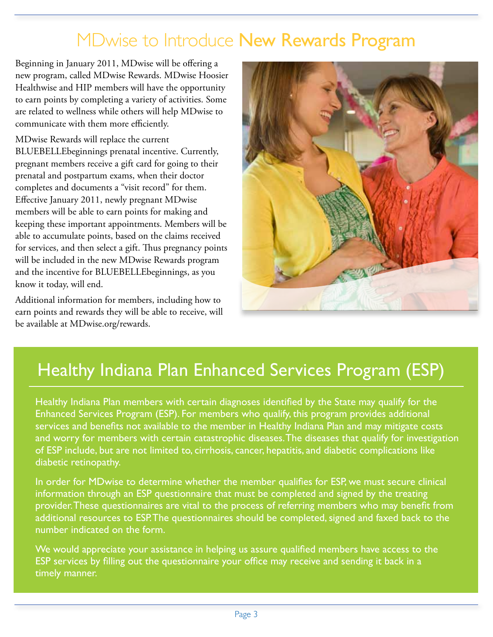## MDwise to Introduce New Rewards Program

Beginning in January 2011, MDwise will be offering a new program, called MDwise Rewards. MDwise Hoosier Healthwise and HIP members will have the opportunity to earn points by completing a variety of activities. Some are related to wellness while others will help MDwise to communicate with them more efficiently.

MDwise Rewards will replace the current BLUEBELLEbeginnings prenatal incentive. Currently, pregnant members receive a gift card for going to their prenatal and postpartum exams, when their doctor completes and documents a "visit record" for them. Effective January 2011, newly pregnant MDwise members will be able to earn points for making and keeping these important appointments. Members will be able to accumulate points, based on the claims received for services, and then select a gift. Thus pregnancy points will be included in the new MDwise Rewards program and the incentive for BLUEBELLEbeginnings, as you know it today, will end.

Additional information for members, including how to earn points and rewards they will be able to receive, will be available at MDwise.org/rewards.



# Healthy Indiana Plan Enhanced Services Program (ESP)

Healthy Indiana Plan members with certain diagnoses identified by the State may qualify for the Enhanced Services Program (ESP). For members who qualify, this program provides additional services and benefits not available to the member in Healthy Indiana Plan and may mitigate costs and worry for members with certain catastrophic diseases. The diseases that qualify for investigation of ESP include, but are not limited to, cirrhosis, cancer, hepatitis, and diabetic complications like diabetic retinopathy.

In order for MDwise to determine whether the member qualifies for ESP, we must secure clinical information through an ESP questionnaire that must be completed and signed by the treating provider. These questionnaires are vital to the process of referring members who may benefit from additional resources to ESP. The questionnaires should be completed, signed and faxed back to the number indicated on the form.

We would appreciate your assistance in helping us assure qualified members have access to the ESP services by filling out the questionnaire your office may receive and sending it back in a timely manner.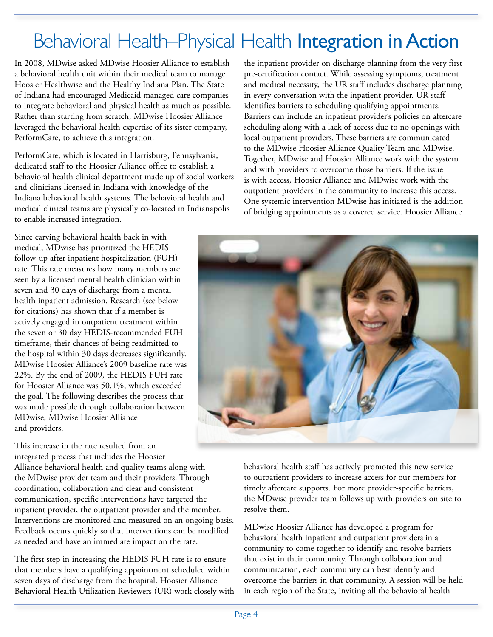# Behavioral Health–Physical Health Integration in Action

In 2008, MDwise asked MDwise Hoosier Alliance to establish a behavioral health unit within their medical team to manage Hoosier Healthwise and the Healthy Indiana Plan. The State of Indiana had encouraged Medicaid managed care companies to integrate behavioral and physical health as much as possible. Rather than starting from scratch, MDwise Hoosier Alliance leveraged the behavioral health expertise of its sister company, PerformCare, to achieve this integration.

PerformCare, which is located in Harrisburg, Pennsylvania, dedicated staff to the Hoosier Alliance office to establish a behavioral health clinical department made up of social workers and clinicians licensed in Indiana with knowledge of the Indiana behavioral health systems. The behavioral health and medical clinical teams are physically co-located in Indianapolis to enable increased integration.

Since carving behavioral health back in with medical, MDwise has prioritized the HEDIS follow-up after inpatient hospitalization (FUH) rate. This rate measures how many members are seen by a licensed mental health clinician within seven and 30 days of discharge from a mental health inpatient admission. Research (see below for citations) has shown that if a member is actively engaged in outpatient treatment within the seven or 30 day HEDIS-recommended FUH timeframe, their chances of being readmitted to the hospital within 30 days decreases significantly. MDwise Hoosier Alliance's 2009 baseline rate was 22%. By the end of 2009, the HEDIS FUH rate for Hoosier Alliance was 50.1%, which exceeded the goal. The following describes the process that was made possible through collaboration between MDwise, MDwise Hoosier Alliance and providers.

This increase in the rate resulted from an integrated process that includes the Hoosier Alliance behavioral health and quality teams along with the MDwise provider team and their providers. Through coordination, collaboration and clear and consistent communication, specific interventions have targeted the inpatient provider, the outpatient provider and the member. Interventions are monitored and measured on an ongoing basis. Feedback occurs quickly so that interventions can be modified as needed and have an immediate impact on the rate.

The first step in increasing the HEDIS FUH rate is to ensure that members have a qualifying appointment scheduled within seven days of discharge from the hospital. Hoosier Alliance Behavioral Health Utilization Reviewers (UR) work closely with the inpatient provider on discharge planning from the very first pre-certification contact. While assessing symptoms, treatment and medical necessity, the UR staff includes discharge planning in every conversation with the inpatient provider. UR staff identifies barriers to scheduling qualifying appointments. Barriers can include an inpatient provider's policies on aftercare scheduling along with a lack of access due to no openings with local outpatient providers. These barriers are communicated to the MDwise Hoosier Alliance Quality Team and MDwise. Together, MDwise and Hoosier Alliance work with the system and with providers to overcome those barriers. If the issue is with access, Hoosier Alliance and MDwise work with the outpatient providers in the community to increase this access. One systemic intervention MDwise has initiated is the addition of bridging appointments as a covered service. Hoosier Alliance



behavioral health staff has actively promoted this new service to outpatient providers to increase access for our members for timely aftercare supports. For more provider-specific barriers, the MDwise provider team follows up with providers on site to resolve them.

MDwise Hoosier Alliance has developed a program for behavioral health inpatient and outpatient providers in a community to come together to identify and resolve barriers that exist in their community. Through collaboration and communication, each community can best identify and overcome the barriers in that community. A session will be held in each region of the State, inviting all the behavioral health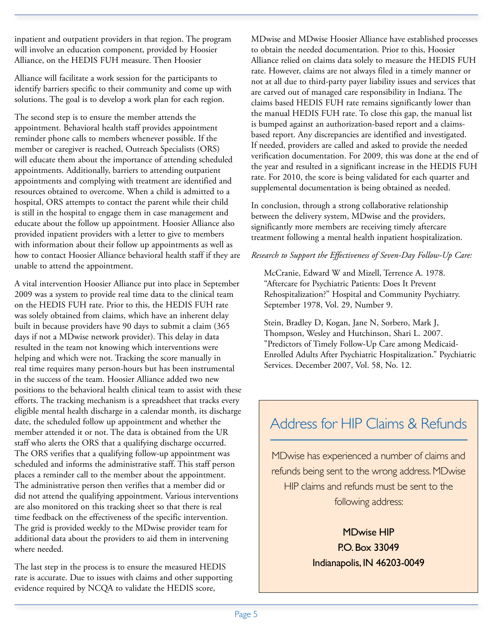inpatient and outpatient providers in that region. The program will involve an education component, provided by Hoosier Alliance, on the HEDIS FUH measure. Then Hoosier

Alliance will facilitate a work session for the participants to identify barriers specific to their community and come up with solutions. The goal is to develop a work plan for each region.

The second step is to ensure the member attends the appointment. Behavioral health staff provides appointment reminder phone calls to members whenever possible. If the member or caregiver is reached, Outreach Specialists (ORS) will educate them about the importance of attending scheduled appointments. Additionally, barriers to attending outpatient appointments and complying with treatment are identified and resources obtained to overcome. When a child is admitted to a hospital, ORS attempts to contact the parent while their child is still in the hospital to engage them in case management and educate about the follow up appointment. Hoosier Alliance also provided inpatient providers with a letter to give to members with information about their follow up appointments as well as how to contact Hoosier Alliance behavioral health staff if they are unable to attend the appointment.

A vital intervention Hoosier Alliance put into place in September 2009 was a system to provide real time data to the clinical team on the HEDIS FUH rate. Prior to this, the HEDIS FUH rate was solely obtained from claims, which have an inherent delay built in because providers have 90 days to submit a claim (365 days if not a MDwise network provider). This delay in data resulted in the team not knowing which interventions were helping and which were not. Tracking the score manually in real time requires many person-hours but has been instrumental in the success of the team. Hoosier Alliance added two new positions to the behavioral health clinical team to assist with these efforts. The tracking mechanism is a spreadsheet that tracks every eligible mental health discharge in a calendar month, its discharge date, the scheduled follow up appointment and whether the member attended it or not. The data is obtained from the UR staff who alerts the ORS that a qualifying discharge occurred. The ORS verifies that a qualifying follow-up appointment was scheduled and informs the administrative staff. This staff person places a reminder call to the member about the appointment. The administrative person then verifies that a member did or did not attend the qualifying appointment. Various interventions are also monitored on this tracking sheet so that there is real time feedback on the effectiveness of the specific intervention. The grid is provided weekly to the MDwise provider team for additional data about the providers to aid them in intervening where needed.

The last step in the process is to ensure the measured HEDIS rate is accurate. Due to issues with claims and other supporting evidence required by NCQA to validate the HEDIS score,

MDwise and MDwise Hoosier Alliance have established processes to obtain the needed documentation. Prior to this, Hoosier Alliance relied on claims data solely to measure the HEDIS FUH rate. However, claims are not always filed in a timely manner or not at all due to third-party payer liability issues and services that are carved out of managed care responsibility in Indiana. The claims based HEDIS FUH rate remains significantly lower than the manual HEDIS FUH rate. To close this gap, the manual list is bumped against an authorization-based report and a claimsbased report. Any discrepancies are identified and investigated. If needed, providers are called and asked to provide the needed verification documentation. For 2009, this was done at the end of the year and resulted in a significant increase in the HEDIS FUH rate. For 2010, the score is being validated for each quarter and supplemental documentation is being obtained as needed.

In conclusion, through a strong collaborative relationship between the delivery system, MDwise and the providers, significantly more members are receiving timely aftercare treatment following a mental health inpatient hospitalization.

#### *Research to Support the Effectiveness of Seven-Day Follow-Up Care:*

 McCranie, Edward W and Mizell, Terrence A. 1978. "Aftercare for Psychiatric Patients: Does It Prevent Rehospitalization?" Hospital and Community Psychiatry. September 1978, Vol. 29, Number 9.

 Stein, Bradley D, Kogan, Jane N, Sorbero, Mark J, Thompson, Wesley and Hutchinson, Shari L. 2007. "Predictors of Timely Follow-Up Care among Medicaid-Enrolled Adults After Psychiatric Hospitalization." Psychiatric Services. December 2007, Vol. 58, No. 12.

## Address for HIP Claims & Refunds

MDwise has experienced a number of claims and refunds being sent to the wrong address. MDwise HIP claims and refunds must be sent to the following address:

> MDwise HIP P.O. Box 33049 Indianapolis, IN 46203-0049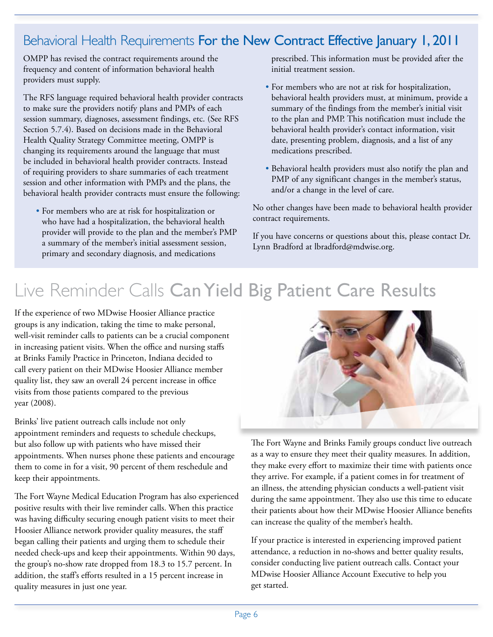## Behavioral Health Requirements For the New Contract Effective January 1, 2011

OMPP has revised the contract requirements around the frequency and content of information behavioral health providers must supply.

The RFS language required behavioral health provider contracts to make sure the providers notify plans and PMPs of each session summary, diagnoses, assessment findings, etc. (See RFS Section 5.7.4). Based on decisions made in the Behavioral Health Quality Strategy Committee meeting, OMPP is changing its requirements around the language that must be included in behavioral health provider contracts. Instead of requiring providers to share summaries of each treatment session and other information with PMPs and the plans, the behavioral health provider contracts must ensure the following:

 • For members who are at risk for hospitalization or who have had a hospitalization, the behavioral health provider will provide to the plan and the member's PMP a summary of the member's initial assessment session, primary and secondary diagnosis, and medications

prescribed. This information must be provided after the initial treatment session.

- For members who are not at risk for hospitalization, behavioral health providers must, at minimum, provide a summary of the findings from the member's initial visit to the plan and PMP. This notification must include the behavioral health provider's contact information, visit date, presenting problem, diagnosis, and a list of any medications prescribed.
- Behavioral health providers must also notify the plan and PMP of any significant changes in the member's status, and/or a change in the level of care.

No other changes have been made to behavioral health provider contract requirements.

If you have concerns or questions about this, please contact Dr. Lynn Bradford at lbradford@mdwise.org.

# Live Reminder Calls Can Yield Big Patient Care Results

If the experience of two MDwise Hoosier Alliance practice groups is any indication, taking the time to make personal, well-visit reminder calls to patients can be a crucial component in increasing patient visits. When the office and nursing staffs at Brinks Family Practice in Princeton, Indiana decided to call every patient on their MDwise Hoosier Alliance member quality list, they saw an overall 24 percent increase in office visits from those patients compared to the previous year (2008).

Brinks' live patient outreach calls include not only appointment reminders and requests to schedule checkups, but also follow up with patients who have missed their appointments. When nurses phone these patients and encourage them to come in for a visit, 90 percent of them reschedule and keep their appointments.

The Fort Wayne Medical Education Program has also experienced positive results with their live reminder calls. When this practice was having difficulty securing enough patient visits to meet their Hoosier Alliance network provider quality measures, the staff began calling their patients and urging them to schedule their needed check-ups and keep their appointments. Within 90 days, the group's no-show rate dropped from 18.3 to 15.7 percent. In addition, the staff's efforts resulted in a 15 percent increase in quality measures in just one year.



The Fort Wayne and Brinks Family groups conduct live outreach as a way to ensure they meet their quality measures. In addition, they make every effort to maximize their time with patients once they arrive. For example, if a patient comes in for treatment of an illness, the attending physician conducts a well-patient visit during the same appointment. They also use this time to educate their patients about how their MDwise Hoosier Alliance benefits can increase the quality of the member's health.

If your practice is interested in experiencing improved patient attendance, a reduction in no-shows and better quality results, consider conducting live patient outreach calls. Contact your MDwise Hoosier Alliance Account Executive to help you get started.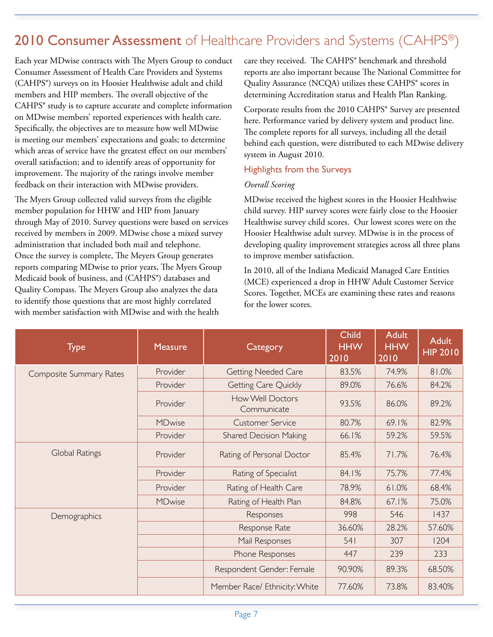## 2010 Consumer Assessment of Healthcare Providers and Systems (CAHPS®)

Each year MDwise contracts with The Myers Group to conduct Consumer Assessment of Health Care Providers and Systems (CAHPS®) surveys on its Hoosier Healthwise adult and child members and HIP members. The overall objective of the CAHPS® study is to capture accurate and complete information on MDwise members' reported experiences with health care. Specifically, the objectives are to measure how well MDwise is meeting our members' expectations and goals; to determine which areas of service have the greatest effect on our members' overall satisfaction; and to identify areas of opportunity for improvement. The majority of the ratings involve member feedback on their interaction with MDwise providers.

The Myers Group collected valid surveys from the eligible member population for HHW and HIP from January through May of 2010. Survey questions were based on services received by members in 2009. MDwise chose a mixed survey administration that included both mail and telephone. Once the survey is complete, The Meyers Group generates reports comparing MDwise to prior years, The Myers Group Medicaid book of business, and (CAHPS®) databases and Quality Compass. The Meyers Group also analyzes the data to identify those questions that are most highly correlated with member satisfaction with MDwise and with the health

care they received. The CAHPS® benchmark and threshold reports are also important because The National Committee for Quality Assurance (NCQA) utilizes these CAHPS® scores in determining Accreditation status and Health Plan Ranking.

Corporate results from the 2010 CAHPS® Survey are presented here. Performance varied by delivery system and product line. The complete reports for all surveys, including all the detail behind each question, were distributed to each MDwise delivery system in August 2010.

#### Highlights from the Surveys

#### *Overall Scoring*

MDwise received the highest scores in the Hoosier Healthwise child survey. HIP survey scores were fairly close to the Hoosier Healthwise survey child scores. Our lowest scores were on the Hoosier Healthwise adult survey. MDwise is in the process of developing quality improvement strategies across all three plans to improve member satisfaction.

In 2010, all of the Indiana Medicaid Managed Care Entities (MCE) experienced a drop in HHW Adult Customer Service Scores. Together, MCEs are examining these rates and reasons for the lower scores.

| <b>Type</b>             | <b>Measure</b> | Category                        | <b>Child</b><br><b>HHW</b><br>2010 | <b>Adult</b><br><b>HHW</b><br>2010 | <b>Adult</b><br><b>HIP 2010</b> |
|-------------------------|----------------|---------------------------------|------------------------------------|------------------------------------|---------------------------------|
| Composite Summary Rates | Provider       | <b>Getting Needed Care</b>      | 83.5%                              | 74.9%                              | 81.0%                           |
|                         | Provider       | Getting Care Quickly            | 89.0%                              | 76.6%                              | 84.2%                           |
|                         | Provider       | How Well Doctors<br>Communicate | 93.5%                              | 86.0%                              | 89.2%                           |
|                         | MDwise         | <b>Customer Service</b>         | 80.7%                              | 69.1%                              | 82.9%                           |
|                         | Provider       | <b>Shared Decision Making</b>   | 66.1%                              | 59.2%                              | 59.5%                           |
| Global Ratings          | Provider       | Rating of Personal Doctor       | 85.4%                              | 71.7%                              | 76.4%                           |
|                         | Provider       | Rating of Specialist            | 84.1%                              | 75.7%                              | 77.4%                           |
|                         | Provider       | Rating of Health Care           | 78.9%                              | 61.0%                              | 68.4%                           |
|                         | MDwise         | Rating of Health Plan           | 84.8%                              | 67.1%                              | 75.0%                           |
| Demographics            |                | Responses                       | 998                                | 546                                | 1437                            |
|                         |                | Response Rate                   | 36.60%                             | 28.2%                              | 57.60%                          |
|                         |                | Mail Responses                  | 541                                | 307                                | 1204                            |
|                         |                | Phone Responses                 | 447                                | 239                                | 233                             |
|                         |                | Respondent Gender: Female       | 90.90%                             | 89.3%                              | 68.50%                          |
|                         |                | Member Race/ Ethnicity: White   | 77.60%                             | 73.8%                              | 83.40%                          |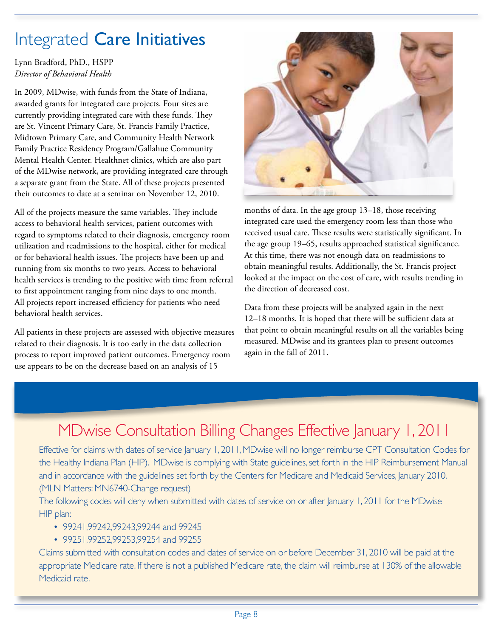# Integrated Care Initiatives

Lynn Bradford, PhD., HSPP *Director of Behavioral Health*

In 2009, MDwise, with funds from the State of Indiana, awarded grants for integrated care projects. Four sites are currently providing integrated care with these funds. They are St. Vincent Primary Care, St. Francis Family Practice, Midtown Primary Care, and Community Health Network Family Practice Residency Program/Gallahue Community Mental Health Center. Healthnet clinics, which are also part of the MDwise network, are providing integrated care through a separate grant from the State. All of these projects presented their outcomes to date at a seminar on November 12, 2010.

All of the projects measure the same variables. They include access to behavioral health services, patient outcomes with regard to symptoms related to their diagnosis, emergency room utilization and readmissions to the hospital, either for medical or for behavioral health issues. The projects have been up and running from six months to two years. Access to behavioral health services is trending to the positive with time from referral to first appointment ranging from nine days to one month. All projects report increased efficiency for patients who need behavioral health services.

All patients in these projects are assessed with objective measures related to their diagnosis. It is too early in the data collection process to report improved patient outcomes. Emergency room use appears to be on the decrease based on an analysis of 15



months of data. In the age group 13–18, those receiving integrated care used the emergency room less than those who received usual care. These results were statistically significant. In the age group 19–65, results approached statistical significance. At this time, there was not enough data on readmissions to obtain meaningful results. Additionally, the St. Francis project looked at the impact on the cost of care, with results trending in the direction of decreased cost.

Data from these projects will be analyzed again in the next 12–18 months. It is hoped that there will be sufficient data at that point to obtain meaningful results on all the variables being measured. MDwise and its grantees plan to present outcomes again in the fall of 2011.

## MDwise Consultation Billing Changes Effective January 1, 2011

Effective for claims with dates of service January 1, 2011, MDwise will no longer reimburse CPT Consultation Codes for the Healthy Indiana Plan (HIP). MDwise is complying with State guidelines, set forth in the HIP Reimbursement Manual and in accordance with the guidelines set forth by the Centers for Medicare and Medicaid Services, January 2010. (MLN Matters: MN6740-Change request)

The following codes will deny when submitted with dates of service on or after January 1, 2011 for the MDwise HIP plan:

- 99241,99242,99243,99244 and 99245
- 99251,99252,99253,99254 and 99255

Claims submitted with consultation codes and dates of service on or before December 31, 2010 will be paid at the appropriate Medicare rate. If there is not a published Medicare rate, the claim will reimburse at 130% of the allowable Medicaid rate.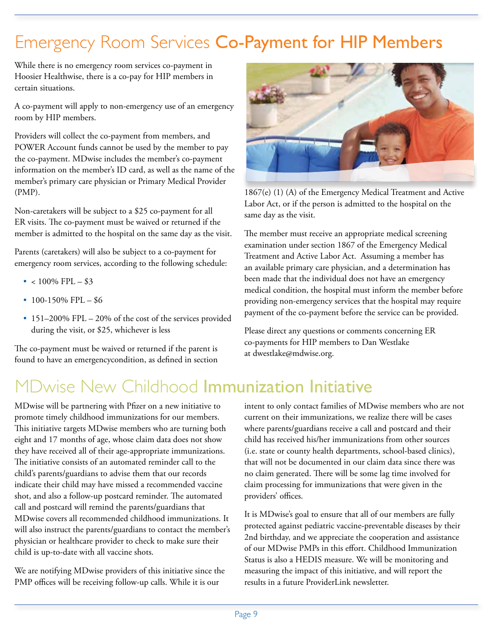# Emergency Room Services Co-Payment for HIP Members

While there is no emergency room services co-payment in Hoosier Healthwise, there is a co-pay for HIP members in certain situations.

A co-payment will apply to non-emergency use of an emergency room by HIP members.

Providers will collect the co-payment from members, and POWER Account funds cannot be used by the member to pay the co-payment. MDwise includes the member's co-payment information on the member's ID card, as well as the name of the member's primary care physician or Primary Medical Provider (PMP).

Non-caretakers will be subject to a \$25 co-payment for all ER visits. The co-payment must be waived or returned if the member is admitted to the hospital on the same day as the visit.

Parents (caretakers) will also be subject to a co-payment for emergency room services, according to the following schedule:

- $< 100\%$  FPL  $$3$
- $100-150\%$  FPL  $-$  \$6
- 151–200% FPL 20% of the cost of the services provided during the visit, or \$25, whichever is less

The co-payment must be waived or returned if the parent is found to have an emergencycondition, as defined in section



1867(e) (1) (A) of the Emergency Medical Treatment and Active Labor Act, or if the person is admitted to the hospital on the same day as the visit.

The member must receive an appropriate medical screening examination under section 1867 of the Emergency Medical Treatment and Active Labor Act. Assuming a member has an available primary care physician, and a determination has been made that the individual does not have an emergency medical condition, the hospital must inform the member before providing non-emergency services that the hospital may require payment of the co-payment before the service can be provided.

Please direct any questions or comments concerning ER co-payments for HIP members to Dan Westlake at dwestlake@mdwise.org.

# MDwise New Childhood Immunization Initiative

MDwise will be partnering with Pfizer on a new initiative to promote timely childhood immunizations for our members. This initiative targets MDwise members who are turning both eight and 17 months of age, whose claim data does not show they have received all of their age-appropriate immunizations. The initiative consists of an automated reminder call to the child's parents/guardians to advise them that our records indicate their child may have missed a recommended vaccine shot, and also a follow-up postcard reminder. The automated call and postcard will remind the parents/guardians that MDwise covers all recommended childhood immunizations. It will also instruct the parents/guardians to contact the member's physician or healthcare provider to check to make sure their child is up-to-date with all vaccine shots.

We are notifying MDwise providers of this initiative since the PMP offices will be receiving follow-up calls. While it is our

intent to only contact families of MDwise members who are not current on their immunizations, we realize there will be cases where parents/guardians receive a call and postcard and their child has received his/her immunizations from other sources (i.e. state or county health departments, school-based clinics), that will not be documented in our claim data since there was no claim generated. There will be some lag time involved for claim processing for immunizations that were given in the providers' offices.

It is MDwise's goal to ensure that all of our members are fully protected against pediatric vaccine-preventable diseases by their 2nd birthday, and we appreciate the cooperation and assistance of our MDwise PMPs in this effort. Childhood Immunization Status is also a HEDIS measure. We will be monitoring and measuring the impact of this initiative, and will report the results in a future ProviderLink newsletter.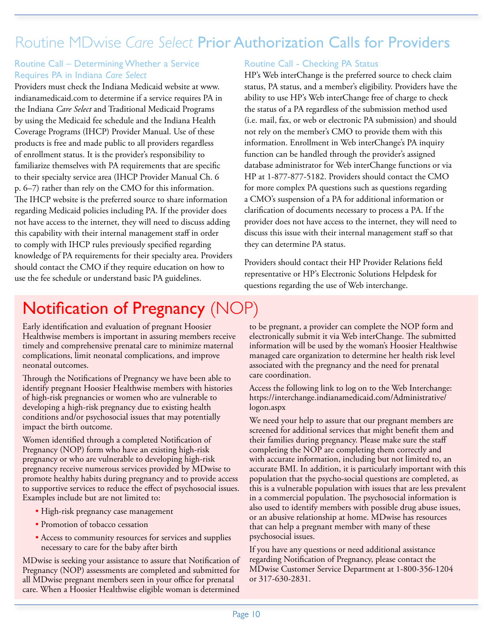## Routine MDwise *Care Select* Prior Authorization Calls for Providers

#### Routine Call – Determining Whether a Service Requires PA in Indiana *Care Select*

Providers must check the Indiana Medicaid website at www. indianamedicaid.com to determine if a service requires PA in the Indiana *Care Select* and Traditional Medicaid Programs by using the Medicaid fee schedule and the Indiana Health Coverage Programs (IHCP) Provider Manual. Use of these products is free and made public to all providers regardless of enrollment status. It is the provider's responsibility to familiarize themselves with PA requirements that are specific to their specialty service area (IHCP Provider Manual Ch. 6 p. 6–7) rather than rely on the CMO for this information. The IHCP website is the preferred source to share information regarding Medicaid policies including PA. If the provider does not have access to the internet, they will need to discuss adding this capability with their internal management staff in order to comply with IHCP rules previously specified regarding knowledge of PA requirements for their specialty area. Providers should contact the CMO if they require education on how to use the fee schedule or understand basic PA guidelines.

#### Routine Call - Checking PA Status

HP's Web interChange is the preferred source to check claim status, PA status, and a member's eligibility. Providers have the ability to use HP's Web interChange free of charge to check the status of a PA regardless of the submission method used (i.e. mail, fax, or web or electronic PA submission) and should not rely on the member's CMO to provide them with this information. Enrollment in Web interChange's PA inquiry function can be handled through the provider's assigned database administrator for Web interChange functions or via HP at 1-877-877-5182. Providers should contact the CMO for more complex PA questions such as questions regarding a CMO's suspension of a PA for additional information or clarification of documents necessary to process a PA. If the provider does not have access to the internet, they will need to discuss this issue with their internal management staff so that they can determine PA status.

Providers should contact their HP Provider Relations field representative or HP's Electronic Solutions Helpdesk for questions regarding the use of Web interchange.

## Notification of Pregnancy (NOP)

Early identification and evaluation of pregnant Hoosier Healthwise members is important in assuring members receive timely and comprehensive prenatal care to minimize maternal complications, limit neonatal complications, and improve neonatal outcomes.

Through the Notifications of Pregnancy we have been able to identify pregnant Hoosier Healthwise members with histories of high-risk pregnancies or women who are vulnerable to developing a high-risk pregnancy due to existing health conditions and/or psychosocial issues that may potentially impact the birth outcome.

Women identified through a completed Notification of Pregnancy (NOP) form who have an existing high-risk pregnancy or who are vulnerable to developing high-risk pregnancy receive numerous services provided by MDwise to promote healthy habits during pregnancy and to provide access to supportive services to reduce the effect of psychosocial issues. Examples include but are not limited to:

- High-risk pregnancy case management
- Promotion of tobacco cessation
- Access to community resources for services and supplies necessary to care for the baby after birth

MDwise is seeking your assistance to assure that Notification of Pregnancy (NOP) assessments are completed and submitted for all MDwise pregnant members seen in your office for prenatal care. When a Hoosier Healthwise eligible woman is determined

to be pregnant, a provider can complete the NOP form and electronically submit it via Web interChange. The submitted information will be used by the woman's Hoosier Healthwise managed care organization to determine her health risk level associated with the pregnancy and the need for prenatal care coordination.

Access the following link to log on to the Web Interchange: https://interchange.indianamedicaid.com/Administrative/ logon.aspx

We need your help to assure that our pregnant members are screened for additional services that might benefit them and their families during pregnancy. Please make sure the staff completing the NOP are completing them correctly and with accurate information, including but not limited to, an accurate BMI. In addition, it is particularly important with this population that the psycho-social questions are completed, as this is a vulnerable population with issues that are less prevalent in a commercial population. The psychosocial information is also used to identify members with possible drug abuse issues, or an abusive relationship at home. MDwise has resources that can help a pregnant member with many of these psychosocial issues.

If you have any questions or need additional assistance regarding Notification of Pregnancy, please contact the MDwise Customer Service Department at 1-800-356-1204 or 317-630-2831.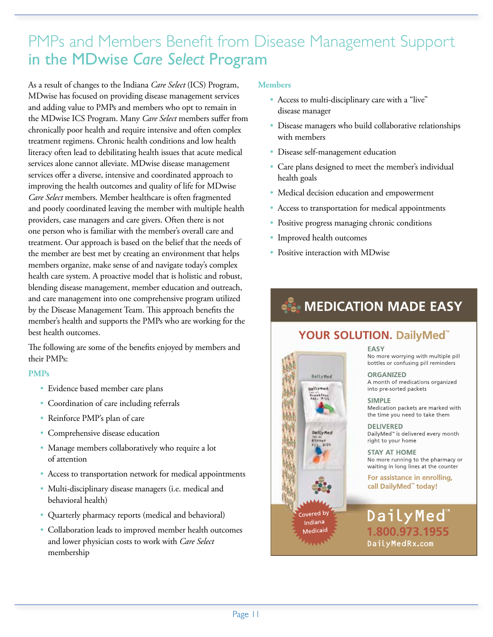## PMPs and Members Benefit from Disease Management Support in the MDwise *Care Select* Program

As a result of changes to the Indiana *Care Select* (ICS) Program, MDwise has focused on providing disease management services and adding value to PMPs and members who opt to remain in the MDwise ICS Program. Many *Care Select* members suffer from chronically poor health and require intensive and often complex treatment regimens. Chronic health conditions and low health literacy often lead to debilitating health issues that acute medical services alone cannot alleviate. MDwise disease management services offer a diverse, intensive and coordinated approach to improving the health outcomes and quality of life for MDwise *Care Select* members. Member healthcare is often fragmented and poorly coordinated leaving the member with multiple health providers, case managers and care givers. Often there is not one person who is familiar with the member's overall care and treatment. Our approach is based on the belief that the needs of the member are best met by creating an environment that helps members organize, make sense of and navigate today's complex health care system. A proactive model that is holistic and robust, blending disease management, member education and outreach, and care management into one comprehensive program utilized by the Disease Management Team. This approach benefits the member's health and supports the PMPs who are working for the best health outcomes.

The following are some of the benefits enjoyed by members and their PMPs:

#### **PMPs**

- Evidence based member care plans
- Coordination of care including referrals
- Reinforce PMP's plan of care
- Comprehensive disease education
- Manage members collaboratively who require a lot of attention
- Access to transportation network for medical appointments
- Multi-disciplinary disease managers (i.e. medical and behavioral health)
- Quarterly pharmacy reports (medical and behavioral)
- Collaboration leads to improved member health outcomes and lower physician costs to work with *Care Select* membership

#### **Members**

- Access to multi-disciplinary care with a "live" disease manager
- Disease managers who build collaborative relationships with members
- Disease self-management education
- Care plans designed to meet the member's individual health goals
- Medical decision education and empowerment
- Access to transportation for medical appointments
- Positive progress managing chronic conditions
- Improved health outcomes

Daily Red

pallyned

Seastless

DailyMed

 $\frac{1}{r}$ 

Covered by Indiana Medicaid

MA

 • Positive interaction with MDwise

## **Comparison MADE EASY**

### **YOUR SOLUTION. DailyMed<sup>"</sup>**

#### **FASY**

No more worrying with multiple pill bottles or confusing pill reminders

#### **ORGANIZED**

A month of medications organized into pre-sorted packets

#### **SIMPLE**

Medication packets are marked with the time you need to take them

#### **DELIVERED**

DailyMed<sup>™</sup> is delivered every month right to your home

**STAY AT HOME** No more running to the pharmacy or waiting in long lines at the counter

For assistance in enrolling, call DailyMed<sup>"</sup> today!

DailyMed 1.800.973.1955 DailyMedRx.com